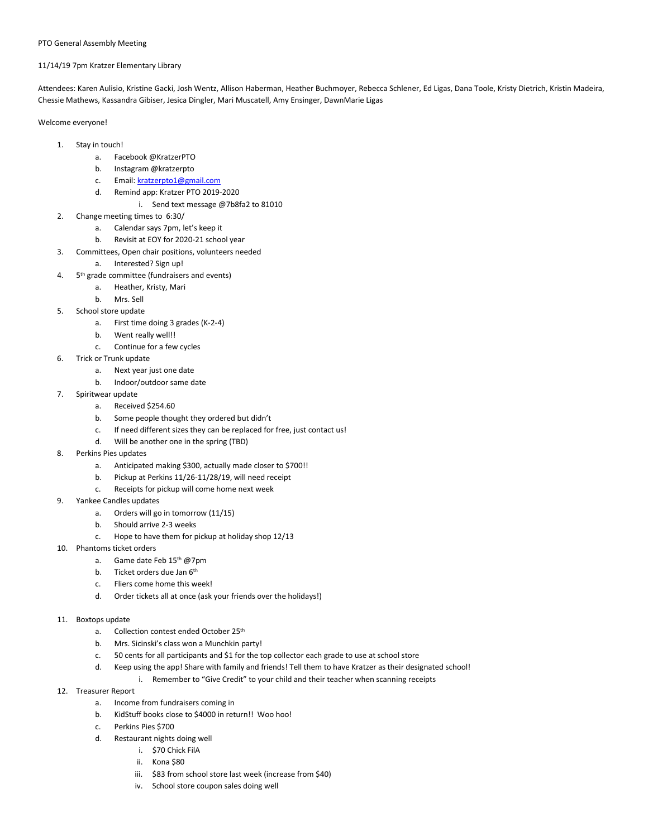## 11/14/19 7pm Kratzer Elementary Library

Attendees: Karen Aulisio, Kristine Gacki, Josh Wentz, Allison Haberman, Heather Buchmoyer, Rebecca Schlener, Ed Ligas, Dana Toole, Kristy Dietrich, Kristin Madeira, Chessie Mathews, Kassandra Gibiser, Jesica Dingler, Mari Muscatell, Amy Ensinger, DawnMarie Ligas

Welcome everyone!

- 1. Stay in touch!
	- a. Facebook @KratzerPTO
	- b. Instagram @kratzerpto
	- c. Email[: kratzerpto1@gmail.com](mailto:kratzerpto1@gmail.com)
	- d. Remind app: Kratzer PTO 2019-2020
		- i. Send text message @7b8fa2 to 81010
- 2. Change meeting times to 6:30/
	- a. Calendar says 7pm, let's keep it
	- b. Revisit at EOY for 2020-21 school year
- 3. Committees, Open chair positions, volunteers needed
	- a. Interested? Sign up!
- 4. 5<sup>th</sup> grade committee (fundraisers and events)
	- a. Heather, Kristy, Mari
	- b. Mrs. Sell
- 5. School store update
	- a. First time doing 3 grades (K-2-4)
	- b. Went really well!!
	- c. Continue for a few cycles
- 6. Trick or Trunk update
	- a. Next year just one date
	- b. Indoor/outdoor same date
- 7. Spiritwear update
	- a. Received \$254.60
	- b. Some people thought they ordered but didn't
	- c. If need different sizes they can be replaced for free, just contact us!
	- d. Will be another one in the spring (TBD)
- 8. Perkins Pies updates
	- a. Anticipated making \$300, actually made closer to \$700!!
	- b. Pickup at Perkins 11/26-11/28/19, will need receipt
	- c. Receipts for pickup will come home next week
- 9. Yankee Candles updates
	- a. Orders will go in tomorrow (11/15)
	- b. Should arrive 2-3 weeks
	- c. Hope to have them for pickup at holiday shop 12/13
- 10. Phantoms ticket orders
	- a. Game date Feb 15<sup>th</sup> @7pm
	- b. Ticket orders due Jan 6<sup>th</sup>
	- c. Fliers come home this week!
	- d. Order tickets all at once (ask your friends over the holidays!)

## 11. Boxtops update

- a. Collection contest ended October 25th
- b. Mrs. Sicinski's class won a Munchkin party!
- c. 50 cents for all participants and \$1 for the top collector each grade to use at school store
- d. Keep using the app! Share with family and friends! Tell them to have Kratzer as their designated school! i. Remember to "Give Credit" to your child and their teacher when scanning receipts
- 
- 12. Treasurer Report
	- a. Income from fundraisers coming in
	- b. KidStuff books close to \$4000 in return!! Woo hoo!
	- c. Perkins Pies \$700
	- d. Restaurant nights doing well
		- i. \$70 Chick FilA
		- ii. Kona \$80
		- iii. \$83 from school store last week (increase from \$40)
		- iv. School store coupon sales doing well